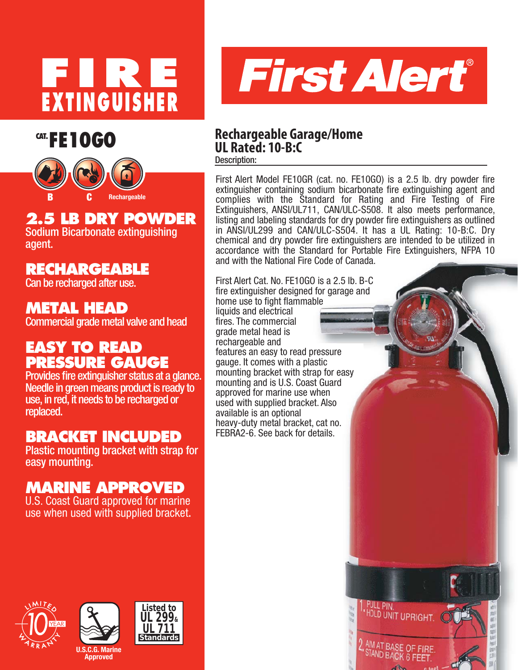





# **2.5 LB DRY POWDER**

Sodium Bicarbonate extinguishing agent.

## **RECHARGEABLE**

Can be recharged after use.

## **METAL HEAD**

Commercial grade metal valve and head

## **EASY TO READ PRESSURE GAUGE**

Provides fire extinguisher status at a glance. Needle in green means product is ready to use, in red, it needs to be recharged or replaced.

## **BRACKET INCLUDED**

Plastic mounting bracket with strap for easy mounting.

## **MARINE APPROVED**

U.S. Coast Guard approved for marine use when used with supplied bracket.



### Description: **CAT. FE 1 0 GO Rechargeable Garage/Home UL Rated: 10-B:C**

First Alert Model FE10GR (cat. no. FE10GO) is a 2.5 lb. dry powder fire extinguisher containing sodium bicarbonate fire extinguishing agent and complies with the Standard for Rating and Fire Testing of Fire Extinguishers, ANSI/UL711, CAN/ULC-S508. It also meets performance, listing and labeling standards for dry powder fire extinguishers as outlined in ANSI/UL299 and CAN/ULC-S504. It has a UL Rating: 10-B:C. Dry chemical and dry powder fire extinguishers are intended to be utilized in accordance with the Standard for Portable Fire Extinguishers, NFPA 10 and with the National Fire Code of Canada.

First Alert Cat. No. FE10GO is a 2.5 lb. B-C fire extinguisher designed for garage and home use to fight flammable liquids and electrical fires. The commercial grade metal head is rechargeable and features an easy to read pressure gauge. It comes with a plastic mounting bracket with strap for easy mounting and is U.S. Coast Guard approved for marine use when used with supplied bracket. Also available is an optional heavy-duty metal bracket, cat no. FEBRA2-6. See back for details.